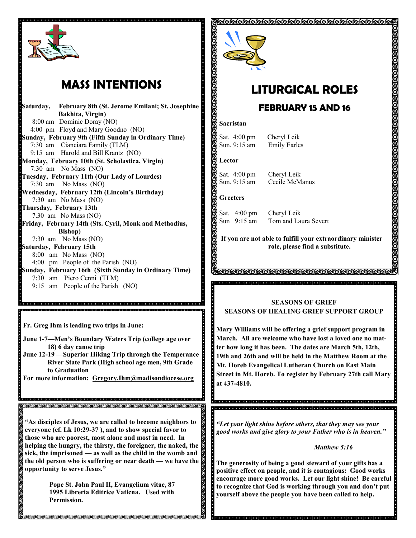

# **MASS INTENTIONS**

**Saturday, February 8th (St. Jerome Emilani; St. Josephine Bakhita, Virgin)** 8:00 am Dominic Doray (NO) 4:00 pm Floyd and Mary Goodno (NO) **Sunday, February 9th (Fifth Sunday in Ordinary Time)** 7:30 am Cianciara Family (TLM) 9:15 am Harold and Bill Krantz (NO) **Monday, February 10th (St. Scholastica, Virgin)** 7:30 am No Mass (NO) **Tuesday, February 11th (Our Lady of Lourdes)** 7:30 am No Mass (NO) **Wednesday, February 12th (Lincoln's Birthday)** 7:30 am No Mass (NO) **Thursday, February 13th** 7.30 am No Mass (NO) **Friday, February 14th (Sts. Cyril, Monk and Methodius, Bishop)** 7:30 am No Mass (NO) **Saturday, February 15th** 8:00 am No Mass (NO) 4:00 pm People of the Parish (NO) **Sunday, February 16th (Sixth Sunday in Ordinary Time)** 7:30 am Piero Cenni (TLM) 9:15 am People of the Parish (NO)

**Fr. Greg Ihm is leading two trips in June:**

ଗଗଗଗଗଗଗଗଗଗଗଗଗଗଗଗଗଗଗଗଗଗଗଗଗଗ

**June 1-7—Men's Boundary Waters Trip (college age over 18) 6 day canoe trip**

.<br>In die lei dielei die lei die lei die lei die lei die lei die lei die lei die lei die lei die lei die lei die lei di 

- **June 12-19 —Superior Hiking Trip through the Temperance River State Park (High school age men, 9th Grade to Graduation**
- **For more information: Gregory.Ihm@madisondiocese.org**

**"As disciples of Jesus, we are called to become neighbors to everyone (cf. Lk 10:29-37 ), and to show special favor to those who are poorest, most alone and most in need. In helping the hungry, the thirsty, the foreigner, the naked, the sick, the imprisoned — as well as the child in the womb and the old person who is suffering or near death — we have the opportunity to serve Jesus."**

> **Pope St. John Paul II, Evangelium vitae, 87 1995 Libreria Editrice Vaticna. Used with Permission.**



# **LITURGICAL ROLES**

### **FEBRUARY 15 AND 16**

#### **Sacristan**

Sat. 4:00 pm Cheryl Leik Sun. 9:15 am Emily Earles

#### **Lector**

Sat. 4:00 pm Cheryl Leik Sun. 9:15 am Cecile McManus

### **Greeters**

2<br>Odooloo oo dhaa

Sat. 4:00 pm Cheryl Leik Sun 9:15 am Tom and Laura Severt

**If you are not able to fulfill your extraordinary minister role, please find a substitute.** 

### **SEASONS OF GRIEF SEASONS OF HEALING GRIEF SUPPORT GROUP**

**Mary Williams will be offering a grief support program in March. All are welcome who have lost a loved one no matter how long it has been. The dates are March 5th, 12th, 19th and 26th and will be held in the Matthew Room at the Mt. Horeb Evangelical Lutheran Church on East Main Street in Mt. Horeb. To register by February 27th call Mary at 437-4810.**

*"Let your light shine before others, that they may see your good works and give glory to your Father who is in heaven."*

*Matthew 5:16*

**The generosity of being a good steward of your gifts has a positive effect on people, and it is contagious: Good works encourage more good works. Let our light shine! Be careful to recognize that God is working through you and don't put yourself above the people you have been called to help.**